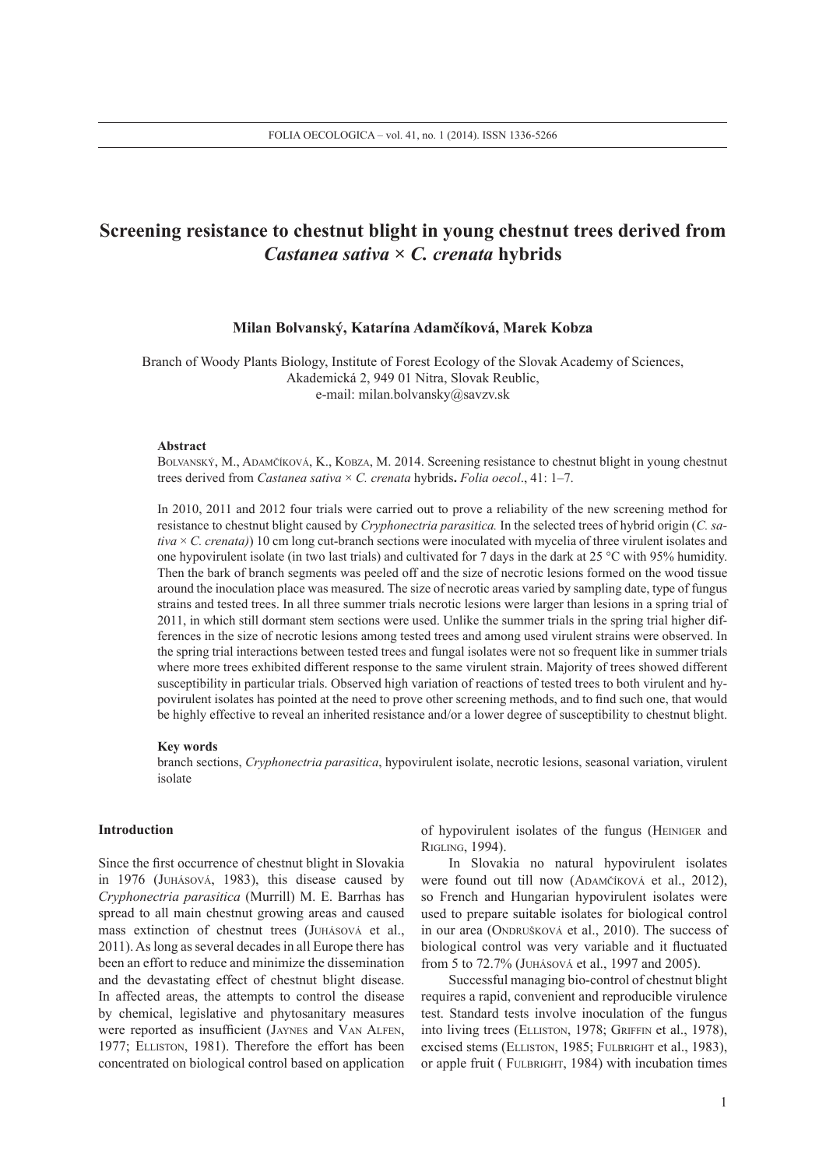# **Screening resistance to chestnut blight in young chestnut trees derived from**  *Castanea sativa* **×** *C. crenata* **hybrids**

# **Milan Bolvanský, Katarína Adamčíková, Marek Kobza**

Branch of Woody Plants Biology, Institute of Forest Ecology of the Slovak Academy of Sciences, Akademická 2, 949 01 Nitra, Slovak Reublic, e-mail: milan.bolvansky@savzv.sk

## **Abstract**

Bolvanský, M., Adamčíková, K., Kobza, M. 2014. Screening resistance to chestnut blight in young chestnut trees derived from *Castanea sativa* × *C. crenata* hybrids**.** *Folia oecol*., 41: 1–7.

In 2010, 2011 and 2012 four trials were carried out to prove a reliability of the new screening method for resistance to chestnut blight caused by *Cryphonectria parasitica.* In the selected trees of hybrid origin (*C. sativa* × *C. crenata)*) 10 cm long cut-branch sections were inoculated with mycelia of three virulent isolates and one hypovirulent isolate (in two last trials) and cultivated for 7 days in the dark at 25 °C with 95% humidity. Then the bark of branch segments was peeled off and the size of necrotic lesions formed on the wood tissue around the inoculation place was measured. The size of necrotic areas varied by sampling date, type of fungus strains and tested trees. In all three summer trials necrotic lesions were larger than lesions in a spring trial of 2011, in which still dormant stem sections were used. Unlike the summer trials in the spring trial higher differences in the size of necrotic lesions among tested trees and among used virulent strains were observed. In the spring trial interactions between tested trees and fungal isolates were not so frequent like in summer trials where more trees exhibited different response to the same virulent strain. Majority of trees showed different susceptibility in particular trials. Observed high variation of reactions of tested trees to both virulent and hypovirulent isolates has pointed at the need to prove other screening methods, and to find such one, that would be highly effective to reveal an inherited resistance and/or a lower degree of susceptibility to chestnut blight.

#### **Key words**

branch sections, *Cryphonectria parasitica*, hypovirulent isolate, necrotic lesions, seasonal variation, virulent isolate

## **Introduction**

Since the first occurrence of chestnut blight in Slovakia in 1976 (Juhásová, 1983), this disease caused by *Cryphonectria parasitica* (Murrill) M. E. Barrhas has spread to all main chestnut growing areas and caused mass extinction of chestnut trees (Juhásová et al., 2011). As long as several decades in all Europe there has been an effort to reduce and minimize the dissemination and the devastating effect of chestnut blight disease. In affected areas, the attempts to control the disease by chemical, legislative and phytosanitary measures were reported as insufficient (Jaynes and Van Alfen, 1977; ELLISTON, 1981). Therefore the effort has been concentrated on biological control based on application

of hypovirulent isolates of the fungus (HEINIGER and Rigling, 1994).

In Slovakia no natural hypovirulent isolates were found out till now (ADAMČÍKOVÁ et al., 2012), so French and Hungarian hypovirulent isolates were used to prepare suitable isolates for biological control in our area (ONDRUŠKOVÁ et al., 2010). The success of biological control was very variable and it fluctuated from 5 to 72.7% (Juhásová et al., 1997 and 2005).

Successful managing bio-control of chestnut blight requires a rapid, convenient and reproducible virulence test. Standard tests involve inoculation of the fungus into living trees (ELLISTON, 1978; GRIFFIN et al., 1978), excised stems (ELLISTON, 1985; FULBRIGHT et al., 1983), or apple fruit (FULBRIGHT, 1984) with incubation times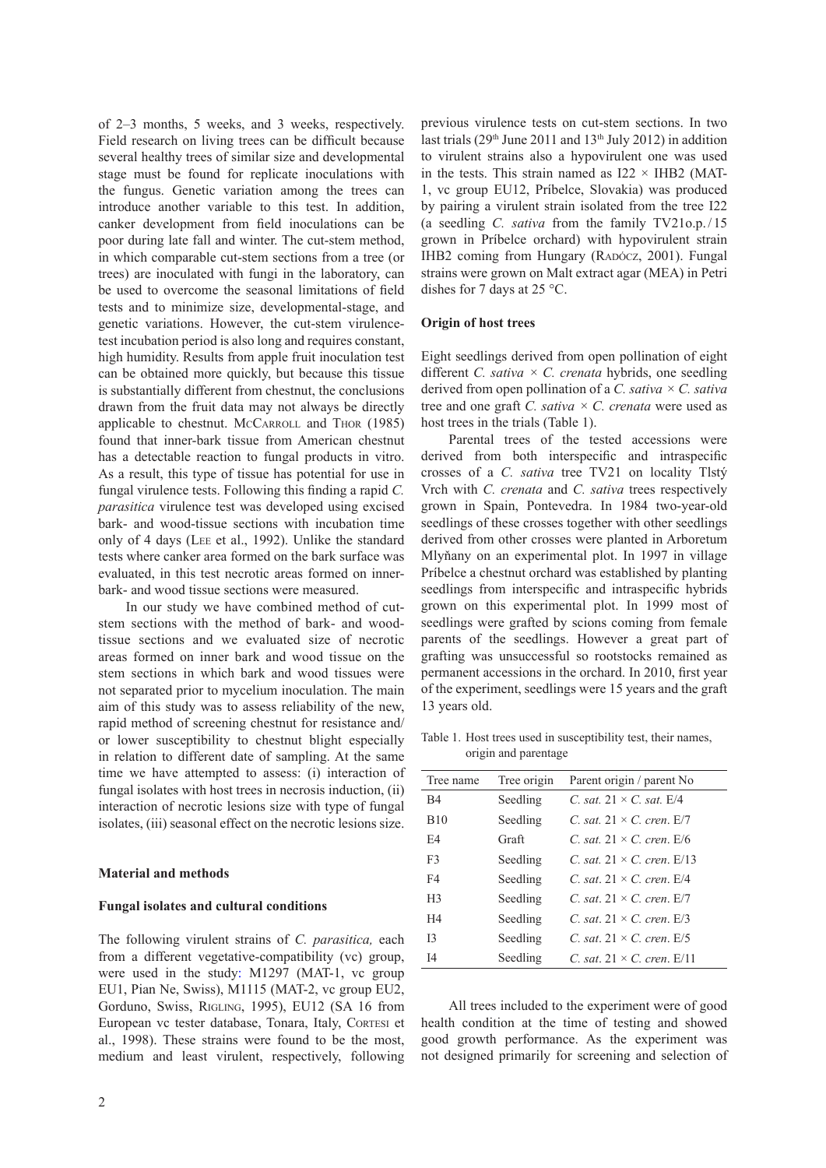of 2–3 months, 5 weeks, and 3 weeks, respectively. Field research on living trees can be difficult because several healthy trees of similar size and developmental stage must be found for replicate inoculations with the fungus. Genetic variation among the trees can introduce another variable to this test. In addition, canker development from field inoculations can be poor during late fall and winter. The cut-stem method, in which comparable cut-stem sections from a tree (or trees) are inoculated with fungi in the laboratory, can be used to overcome the seasonal limitations of field tests and to minimize size, developmental-stage, and genetic variations. However, the cut-stem virulencetest incubation period is also long and requires constant, high humidity. Results from apple fruit inoculation test can be obtained more quickly, but because this tissue is substantially different from chestnut, the conclusions drawn from the fruit data may not always be directly applicable to chestnut. McCARROLL and THOR (1985) found that inner-bark tissue from American chestnut has a detectable reaction to fungal products in vitro. As a result, this type of tissue has potential for use in fungal virulence tests. Following this finding a rapid *C. parasitica* virulence test was developed using excised bark- and wood-tissue sections with incubation time only of 4 days (Lee et al., 1992). Unlike the standard tests where canker area formed on the bark surface was evaluated, in this test necrotic areas formed on innerbark- and wood tissue sections were measured.

In our study we have combined method of cutstem sections with the method of bark- and woodtissue sections and we evaluated size of necrotic areas formed on inner bark and wood tissue on the stem sections in which bark and wood tissues were not separated prior to mycelium inoculation. The main aim of this study was to assess reliability of the new, rapid method of screening chestnut for resistance and/ or lower susceptibility to chestnut blight especially in relation to different date of sampling. At the same time we have attempted to assess: (i) interaction of fungal isolates with host trees in necrosis induction, (ii) interaction of necrotic lesions size with type of fungal isolates, (iii) seasonal effect on the necrotic lesions size.

### **Material and methods**

#### **Fungal isolates and cultural conditions**

The following virulent strains of *C. parasitica,* each from a different vegetative-compatibility (vc) group, were used in the study: M1297 (MAT-1, vc group EU1, Pian Ne, Swiss), M1115 (MAT-2, vc group EU2, Gorduno, Swiss, Rigling, 1995), EU12 (SA 16 from European vc tester database, Tonara, Italy, Cortesi et al., 1998). These strains were found to be the most, medium and least virulent, respectively, following

previous virulence tests on cut-stem sections. In two last trials (29<sup>th</sup> June 2011 and 13<sup>th</sup> July 2012) in addition to virulent strains also a hypovirulent one was used in the tests. This strain named as  $I22 \times IHB2$  (MAT-1, vc group EU12, Príbelce, Slovakia) was produced by pairing a virulent strain isolated from the tree I22 (a seedling *C. sativa* from the family TV21o.p./15 grown in Príbelce orchard) with hypovirulent strain IHB2 coming from Hungary (RADÓCZ, 2001). Fungal strains were grown on Malt extract agar (MEA) in Petri dishes for 7 days at 25 °C.

#### **Origin of host trees**

Eight seedlings derived from open pollination of eight different *C. sativa × C. crenata* hybrids, one seedling derived from open pollination of a *C. sativa × C. sativa* tree and one graft *C. sativa × C. crenata* were used as host trees in the trials (Table 1).

Parental trees of the tested accessions were derived from both interspecific and intraspecific crosses of a *C. sativa* tree TV21 on locality Tlstý Vrch with *C. crenata* and *C. sativa* trees respectively grown in Spain, Pontevedra. In 1984 two-year-old seedlings of these crosses together with other seedlings derived from other crosses were planted in Arboretum Mlyňany on an experimental plot. In 1997 in village Príbelce a chestnut orchard was established by planting seedlings from interspecific and intraspecific hybrids grown on this experimental plot. In 1999 most of seedlings were grafted by scions coming from female parents of the seedlings. However a great part of grafting was unsuccessful so rootstocks remained as permanent accessions in the orchard. In 2010, first year of the experiment, seedlings were 15 years and the graft 13 years old.

Table 1. Host trees used in susceptibility test, their names, origin and parentage

| Tree name      | Tree origin | Parent origin / parent No            |
|----------------|-------------|--------------------------------------|
| B4             | Seedling    | C. sat. $21 \times C$ . sat. $E/4$   |
| <b>B10</b>     | Seedling    | C. sat. $21 \times C$ . cren. $E/7$  |
| F4             | Graft       | C sat $21 \times C$ cren $E/6$       |
| F <sub>3</sub> | Seedling    | C. sat. $21 \times C$ . cren. $E/13$ |
| F4             | Seedling    | C. sat. $21 \times C$ . cren. $E/4$  |
| H <sub>3</sub> | Seedling    | C. sat. $21 \times C$ . cren. $E/7$  |
| H <sub>4</sub> | Seedling    | C. sat. $21 \times C$ . cren. $E/3$  |
| 13             | Seedling    | C. sat. $21 \times C$ . cren. $E/5$  |
| I <sub>4</sub> | Seedling    | C. sat. $21 \times C$ . cren. $E/11$ |

All trees included to the experiment were of good health condition at the time of testing and showed good growth performance. As the experiment was not designed primarily for screening and selection of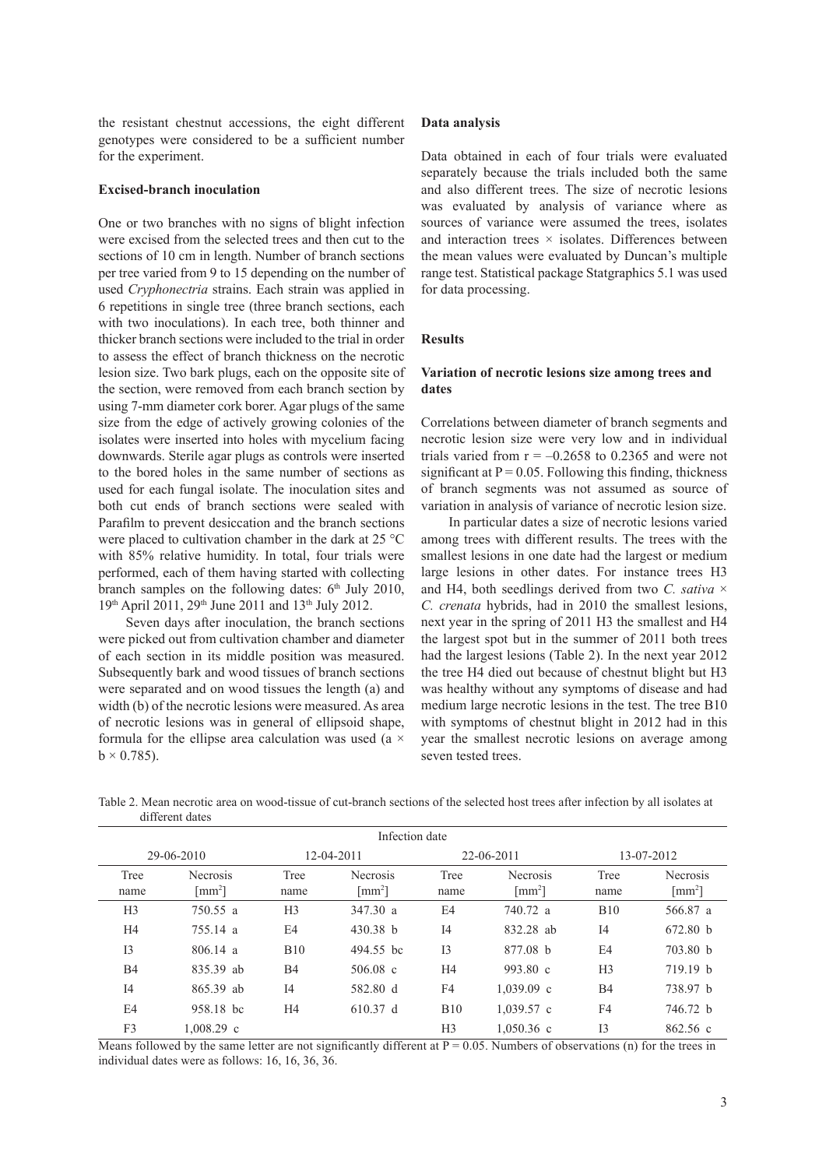the resistant chestnut accessions, the eight different genotypes were considered to be a sufficient number for the experiment.

#### **Excised-branch inoculation**

One or two branches with no signs of blight infection were excised from the selected trees and then cut to the sections of 10 cm in length. Number of branch sections per tree varied from 9 to 15 depending on the number of used *Cryphonectria* strains. Each strain was applied in 6 repetitions in single tree (three branch sections, each with two inoculations). In each tree, both thinner and thicker branch sections were included to the trial in order to assess the effect of branch thickness on the necrotic lesion size. Two bark plugs, each on the opposite site of the section, were removed from each branch section by using 7-mm diameter cork borer. Agar plugs of the same size from the edge of actively growing colonies of the isolates were inserted into holes with mycelium facing downwards. Sterile agar plugs as controls were inserted to the bored holes in the same number of sections as used for each fungal isolate. The inoculation sites and both cut ends of branch sections were sealed with Parafilm to prevent desiccation and the branch sections were placed to cultivation chamber in the dark at 25 °C with 85% relative humidity. In total, four trials were performed, each of them having started with collecting branch samples on the following dates:  $6<sup>th</sup>$  July 2010, 19th April 2011, 29th June 2011 and 13th July 2012.

Seven days after inoculation, the branch sections were picked out from cultivation chamber and diameter of each section in its middle position was measured. Subsequently bark and wood tissues of branch sections were separated and on wood tissues the length (a) and width (b) of the necrotic lesions were measured. As area of necrotic lesions was in general of ellipsoid shape, formula for the ellipse area calculation was used (a  $\times$  $b \times 0.785$ ).

#### **Data analysis**

Data obtained in each of four trials were evaluated separately because the trials included both the same and also different trees. The size of necrotic lesions was evaluated by analysis of variance where as sources of variance were assumed the trees, isolates and interaction trees  $\times$  isolates. Differences between the mean values were evaluated by Duncan's multiple range test. Statistical package Statgraphics 5.1 was used for data processing.

## **Results**

# **Variation of necrotic lesions size among trees and dates**

Correlations between diameter of branch segments and necrotic lesion size were very low and in individual trials varied from  $r = -0.2658$  to 0.2365 and were not significant at  $P = 0.05$ . Following this finding, thickness of branch segments was not assumed as source of variation in analysis of variance of necrotic lesion size.

In particular dates a size of necrotic lesions varied among trees with different results. The trees with the smallest lesions in one date had the largest or medium large lesions in other dates. For instance trees H3 and H4, both seedlings derived from two *C. sativa* × *C. crenata* hybrids, had in 2010 the smallest lesions, next year in the spring of 2011 H3 the smallest and H4 the largest spot but in the summer of 2011 both trees had the largest lesions (Table 2). In the next year 2012 the tree H4 died out because of chestnut blight but H3 was healthy without any symptoms of disease and had medium large necrotic lesions in the test. The tree B10 with symptoms of chestnut blight in 2012 had in this year the smallest necrotic lesions on average among seven tested trees.

| Infection date |                                                      |                |                                                      |                |                                               |                |                                                      |  |  |  |
|----------------|------------------------------------------------------|----------------|------------------------------------------------------|----------------|-----------------------------------------------|----------------|------------------------------------------------------|--|--|--|
| 29-06-2010     |                                                      | 12-04-2011     |                                                      | 22-06-2011     |                                               | 13-07-2012     |                                                      |  |  |  |
| Tree<br>name   | <b>Necrosis</b><br>$\lceil$ mm <sup>2</sup> $\rceil$ | Tree<br>name   | <b>Necrosis</b><br>$\lceil$ mm <sup>2</sup> $\rceil$ | Tree<br>name   | Necrosis<br>$\lceil$ mm <sup>2</sup> $\rceil$ | Tree<br>name   | <b>Necrosis</b><br>$\lceil$ mm <sup>2</sup> $\rceil$ |  |  |  |
| H <sub>3</sub> | 750.55 a                                             | H <sub>3</sub> | 347.30 a                                             | E4             | 740.72 a                                      | <b>B10</b>     | 566.87 a                                             |  |  |  |
| H4             | 755.14 a                                             | E4             | $430.38$ b                                           | I <sub>4</sub> | 832.28 ab                                     | I <sub>4</sub> | 672.80 b                                             |  |  |  |
| I <sub>3</sub> | 806.14 a                                             | <b>B10</b>     | 494.55 bc                                            | I <sub>3</sub> | 877.08 h                                      | E <sub>4</sub> | 703.80 b                                             |  |  |  |
| <b>B4</b>      | 835.39 ab                                            | <b>B4</b>      | $506.08$ c                                           | H <sub>4</sub> | 993.80 c                                      | H <sub>3</sub> | 719.19 h                                             |  |  |  |
| I4             | 865.39 ab                                            | I <sub>4</sub> | 582.80 d                                             | F4             | $1,039.09$ c                                  | <b>B4</b>      | 738.97 b                                             |  |  |  |
| E <sub>4</sub> | 958.18 bc                                            | H <sub>4</sub> | 610.37 d                                             | <b>B10</b>     | $1,039.57$ c                                  | F4             | 746.72 b                                             |  |  |  |
| F3             | $1.008.29$ c                                         |                |                                                      | H <sub>3</sub> | $1,050.36$ c                                  | I <sub>3</sub> | $862.56$ c                                           |  |  |  |

Table 2. Mean necrotic area on wood-tissue of cut-branch sections of the selected host trees after infection by all isolates at different dates

Means followed by the same letter are not significantly different at  $P = 0.05$ . Numbers of observations (n) for the trees in individual dates were as follows: 16, 16, 36, 36.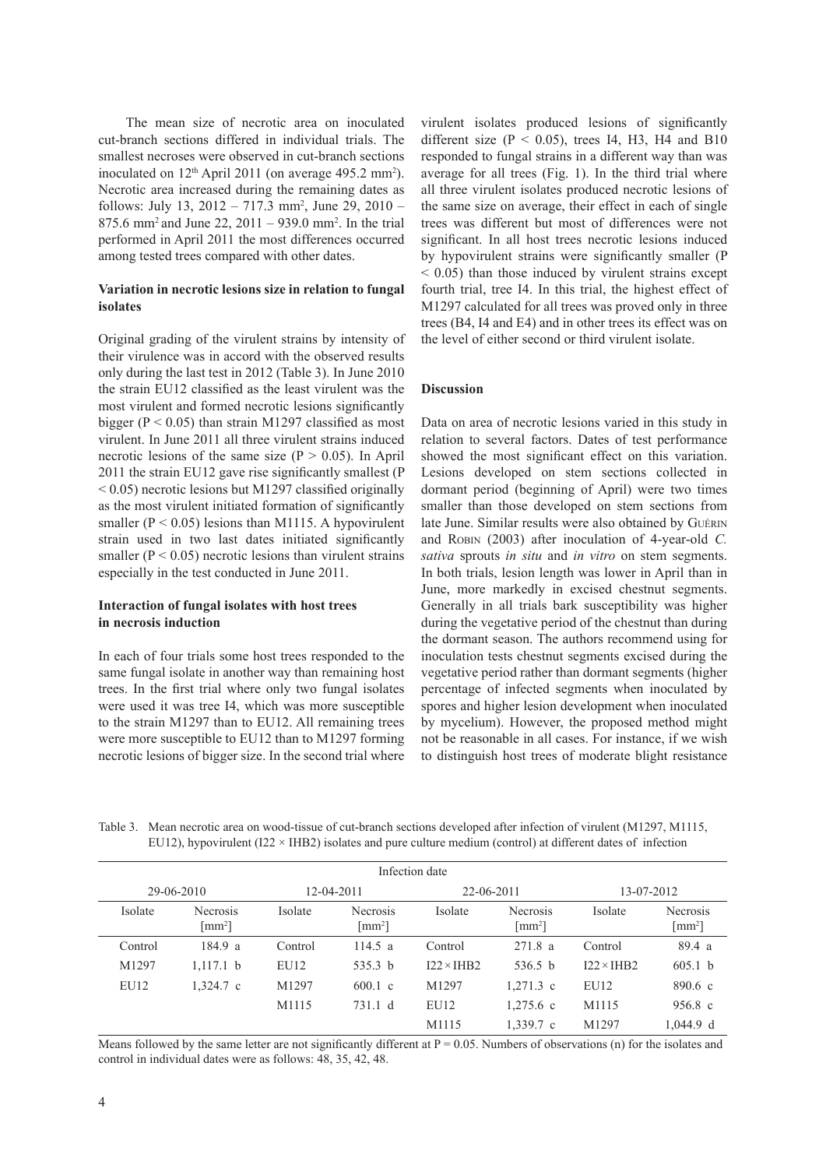The mean size of necrotic area on inoculated cut-branch sections differed in individual trials. The smallest necroses were observed in cut-branch sections inoculated on  $12<sup>th</sup>$  April 2011 (on average 495.2 mm<sup>2</sup>). Necrotic area increased during the remaining dates as follows: July 13,  $2012 - 717.3$  mm<sup>2</sup>, June 29,  $2010 -$ 875.6 mm<sup>2</sup>and June 22, 2011 – 939.0 mm<sup>2</sup> . In the trial performed in April 2011 the most differences occurred among tested trees compared with other dates.

# **Variation in necrotic lesions size in relation to fungal isolates**

Original grading of the virulent strains by intensity of their virulence was in accord with the observed results only during the last test in 2012 (Table 3). In June 2010 the strain EU12 classified as the least virulent was the most virulent and formed necrotic lesions significantly bigger ( $P < 0.05$ ) than strain M1297 classified as most virulent. In June 2011 all three virulent strains induced necrotic lesions of the same size ( $P > 0.05$ ). In April 2011 the strain EU12 gave rise significantly smallest (P  $< 0.05$ ) necrotic lesions but M1297 classified originally as the most virulent initiated formation of significantly smaller ( $P < 0.05$ ) lesions than M1115. A hypovirulent strain used in two last dates initiated significantly smaller ( $P < 0.05$ ) necrotic lesions than virulent strains especially in the test conducted in June 2011.

# **Interaction of fungal isolates with host trees in necrosis induction**

In each of four trials some host trees responded to the same fungal isolate in another way than remaining host trees. In the first trial where only two fungal isolates were used it was tree I4, which was more susceptible to the strain M1297 than to EU12. All remaining trees were more susceptible to EU12 than to M1297 forming necrotic lesions of bigger size. In the second trial where

virulent isolates produced lesions of significantly different size ( $P < 0.05$ ), trees I4, H3, H4 and B10 responded to fungal strains in a different way than was average for all trees (Fig. 1). In the third trial where all three virulent isolates produced necrotic lesions of the same size on average, their effect in each of single trees was different but most of differences were not significant. In all host trees necrotic lesions induced by hypovirulent strains were significantly smaller (P  $< 0.05$ ) than those induced by virulent strains except fourth trial, tree I4. In this trial, the highest effect of M1297 calculated for all trees was proved only in three trees (B4, I4 and E4) and in other trees its effect was on the level of either second or third virulent isolate.

# **Discussion**

Data on area of necrotic lesions varied in this study in relation to several factors. Dates of test performance showed the most significant effect on this variation. Lesions developed on stem sections collected in dormant period (beginning of April) were two times smaller than those developed on stem sections from late June. Similar results were also obtained by Guérin and Robin (2003) after inoculation of 4-year-old *C*. *sativa* sprouts *in situ* and *in vitro* on stem segments. In both trials, lesion length was lower in April than in June, more markedly in excised chestnut segments. Generally in all trials bark susceptibility was higher during the vegetative period of the chestnut than during the dormant season. The authors recommend using for inoculation tests chestnut segments excised during the vegetative period rather than dormant segments (higher percentage of infected segments when inoculated by spores and higher lesion development when inoculated by mycelium). However, the proposed method might not be reasonable in all cases. For instance, if we wish to distinguish host trees of moderate blight resistance

Table 3. Mean necrotic area on wood-tissue of cut-branch sections developed after infection of virulent (M1297, M1115, EU12), hypovirulent (I22  $\times$  IHB2) isolates and pure culture medium (control) at different dates of infection

| Infection date |                                                      |            |                                                      |                   |                                                      |                   |                                                      |  |  |  |
|----------------|------------------------------------------------------|------------|------------------------------------------------------|-------------------|------------------------------------------------------|-------------------|------------------------------------------------------|--|--|--|
| 29-06-2010     |                                                      | 12-04-2011 |                                                      | 22-06-2011        |                                                      | 13-07-2012        |                                                      |  |  |  |
| Isolate        | <b>Necrosis</b><br>$\lceil$ mm <sup>2</sup> $\rceil$ | Isolate    | <b>Necrosis</b><br>$\lceil$ mm <sup>2</sup> $\rceil$ | Isolate           | <b>Necrosis</b><br>$\lceil$ mm <sup>2</sup> $\rceil$ | Isolate           | <b>Necrosis</b><br>$\lceil$ mm <sup>2</sup> $\rceil$ |  |  |  |
| Control        | 184.9 a                                              | Control    | 114.5 a                                              | Control           | 271.8a                                               | Control           | 89.4 a                                               |  |  |  |
| M1297          | $1,117.1$ b                                          | EU12       | 535.3 $b$                                            | $I22 \times IHB2$ | 536.5 $b$                                            | $I22 \times IHB2$ | 605.1 b                                              |  |  |  |
| EU12           | $1.324.7$ c                                          | M1297      | $600.1 \text{ c}$                                    | M1297             | $1,271.3$ c                                          | EU12              | $890.6 \text{ c}$                                    |  |  |  |
|                |                                                      | M1115      | 731.1 d                                              | EU12              | $1,275.6$ c                                          | M1115             | $956.8 \text{ c}$                                    |  |  |  |
|                |                                                      |            |                                                      | M1115             | $1.339.7$ c                                          | M1297             | $1,044.9$ d                                          |  |  |  |

Means followed by the same letter are not significantly different at  $P = 0.05$ . Numbers of observations (n) for the isolates and control in individual dates were as follows: 48, 35, 42, 48.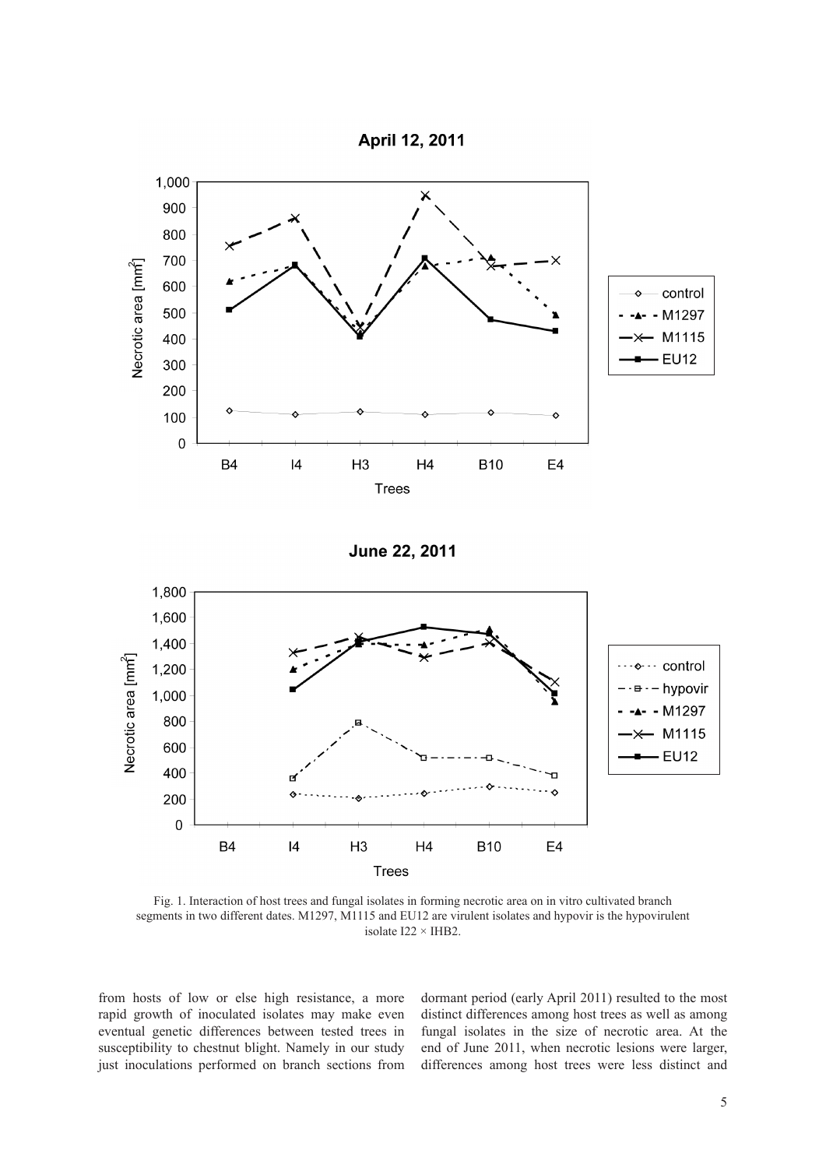



**June 22, 2011** 



Fig. 1. Interaction of host trees and fungal isolates in forming necrotic area on in vitro cultivated branch segments in two different dates. M1297, M1115 and EU12 are virulent isolates and hypovir is the hypovirulent isolate I22 × IHB2.

from hosts of low or else high resistance, a more rapid growth of inoculated isolates may make even eventual genetic differences between tested trees in susceptibility to chestnut blight. Namely in our study just inoculations performed on branch sections from dormant period (early April 2011) resulted to the most distinct differences among host trees as well as among fungal isolates in the size of necrotic area. At the end of June 2011, when necrotic lesions were larger, differences among host trees were less distinct and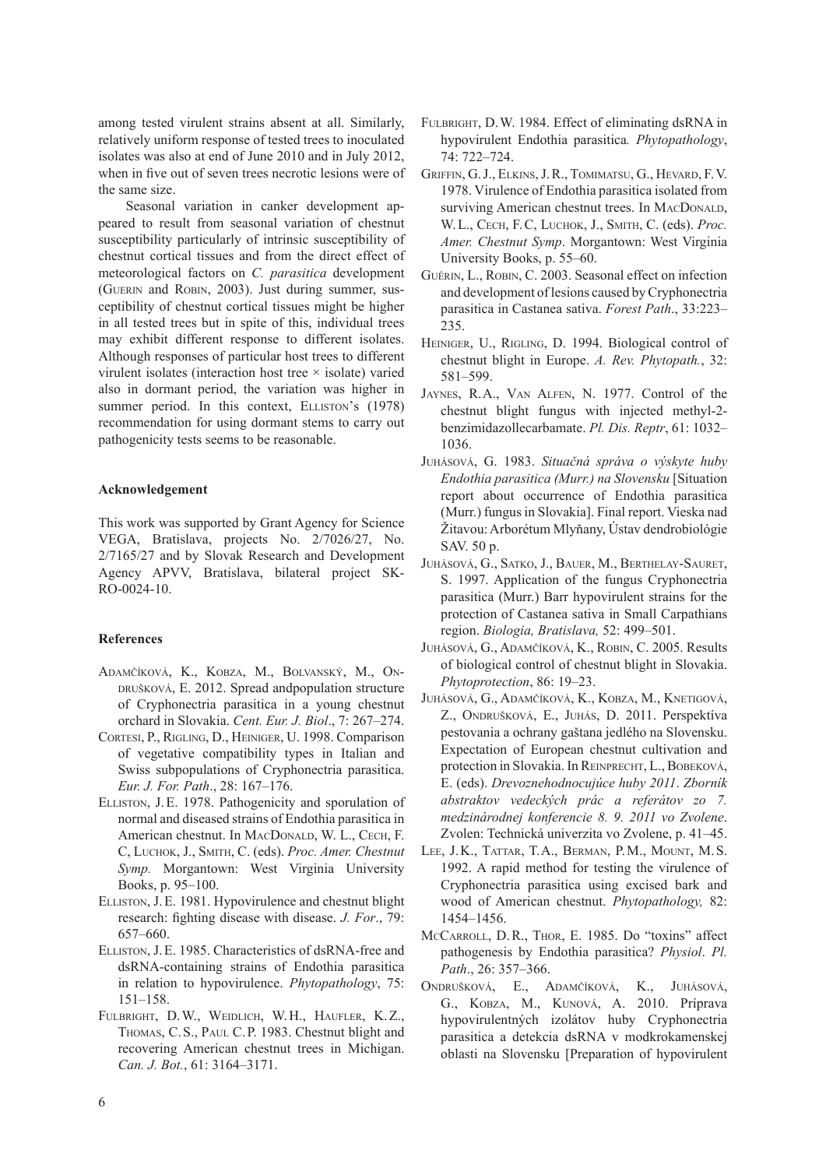among tested virulent strains absent at all. Similarly, relatively uniform response of tested trees to inoculated isolates was also at end of June 2010 and in July 2012, when in five out of seven trees necrotic lesions were of the same size.

Seasonal variation in canker development appeared to result from seasonal variation of chestnut susceptibility particularly of intrinsic susceptibility of chestnut cortical tissues and from the direct effect of meteorological factors on *C. parasitica* development (Guerin and Robin, 2003). Just during summer, susceptibility of chestnut cortical tissues might be higher in all tested trees but in spite of this, individual trees may exhibit different response to different isolates. Although responses of particular host trees to different virulent isolates (interaction host tree  $\times$  isolate) varied also in dormant period, the variation was higher in summer period. In this context, ELLISTON's (1978) recommendation for using dormant stems to carry out pathogenicity tests seems to be reasonable.

# **Acknowledgement**

This work was supported by Grant Agency for Science VEGA, Bratislava, projects No. 2/7026/27, No. 2/7165/27 and by Slovak Research and Development Agency APVV, Bratislava, bilateral project SK-RO-0024-10.

# **References**

- Adamčíková, K., Kobza, M., Bolvanský, M., Ondrušková, E. 2012. Spread andpopulation structure of Cryphonectria parasitica in a young chestnut orchard in Slovakia. *Cent. Eur. J. Biol*., 7: 267–274.
- Cortesi, P., Rigling, D., Heiniger, U. 1998. Comparison of vegetative compatibility types in Italian and Swiss subpopulations of Cryphonectria parasitica. *Eur. J. For. Path*., 28: 167–176.
- Elliston, J.E. 1978. Pathogenicity and sporulation of normal and diseased strains of Endothia parasitica in American chestnut. In MACDONALD, W. L., CECH, F. C, Luchok, J., Smith, C. (eds). *Proc. Amer. Chestnut Symp.* Morgantown: West Virginia University Books, p. 95–100.
- Elliston, J.E. 1981. Hypovirulence and chestnut blight research: fighting disease with disease. *J. For*., 79: 657–660.
- Elliston, J.E. 1985. Characteristics of dsRNA-free and dsRNA-containing strains of Endothia parasitica in relation to hypovirulence. *Phytopathology*, 75: 151–158.
- Fulbright, D.W., Weidlich, W.H., Haufler, K. Z., THOMAS, C.S., PAUL C.P. 1983. Chestnut blight and recovering American chestnut trees in Michigan. *Can. J. Bot.*, 61: 3164–3171.
- Fulbright, D.W. 1984. Effect of eliminating dsRNA in hypovirulent Endothia parasitica*. Phytopathology*, 74: 722–724.
- Griffin, G.J., Elkins, J. R., Tomimatsu, G., Hevard, F. V. 1978. Virulence of Endothia parasitica isolated from surviving American chestnut trees. In MACDONALD, W. L., Cech, F. C, Luchok, J., Smith, C. (eds). *Proc. Amer. Chestnut Symp*. Morgantown: West Virginia University Books, p. 55–60.
- GUÉRIN, L., ROBIN, C. 2003. Seasonal effect on infection and development of lesions caused by Cryphonectria parasitica in Castanea sativa. *Forest Path*., 33:223– 235.
- HEINIGER, U., RIGLING, D. 1994. Biological control of chestnut blight in Europe. *A. Rev. Phytopath.*, 32: 581–599.
- Jaynes, R.A., Van Alfen, N. 1977. Control of the chestnut blight fungus with injected methyl-2 benzimidazollecarbamate. *Pl. Dis. Reptr*, 61: 1032– 1036.
- Juhásová, G. 1983. *Situačná správa o výskyte huby Endothia parasitica (Murr.) na Slovensku* [Situation report about occurrence of Endothia parasitica (Murr.) fungus in Slovakia]. Final report. Vieska nad Žitavou: Arborétum Mlyňany, Ústav dendrobiológie SAV. 50 p.
- Juhásová, G., Satko, J., Bauer, M., Berthelay-Sauret, S. 1997. Application of the fungus Cryphonectria parasitica (Murr.) Barr hypovirulent strains for the protection of Castanea sativa in Small Carpathians region. *Biologia, Bratislava,* 52: 499–501.
- Juhásová, G., Adamčíková, K., Robin, C. 2005. Results of biological control of chestnut blight in Slovakia. *Phytoprotection*, 86: 19–23.
- Juhásová, G., Adamčíková, K., Kobza, M., Knetigová, Z., Ondrušková, E., Juhás, D. 2011. Perspektíva pestovania a ochrany gaštana jedlého na Slovensku. Expectation of European chestnut cultivation and protection in Slovakia. In REINPRECHT, L., BOBEKOVÁ, E. (eds). *Drevoznehodnocujúce huby 2011*. *Zborník abstraktov vedeckých prác a referátov zo 7. medzinárodnej konferencie 8. 9. 2011 vo Zvolene*. Zvolen: Technická univerzita vo Zvolene, p. 41–45.
- Lee, J. K., Tattar, T.A., Berman, P. M., Mount, M. S. 1992. A rapid method for testing the virulence of Cryphonectria parasitica using excised bark and wood of American chestnut. *Phytopathology,* 82: 1454–1456.
- McCarroll, D. R., Thor, E. 1985. Do "toxins" affect pathogenesis by Endothia parasitica? *Physiol*. *Pl. Path*., 26: 357–366.
- Ondrušková, E., Adamčíková, K., Juhásová, G., Kobza, M., Kunová, A. 2010. Príprava hypovirulentných izolátov huby Cryphonectria parasitica a detekcia dsRNA v modkrokamenskej oblasti na Slovensku [Preparation of hypovirulent